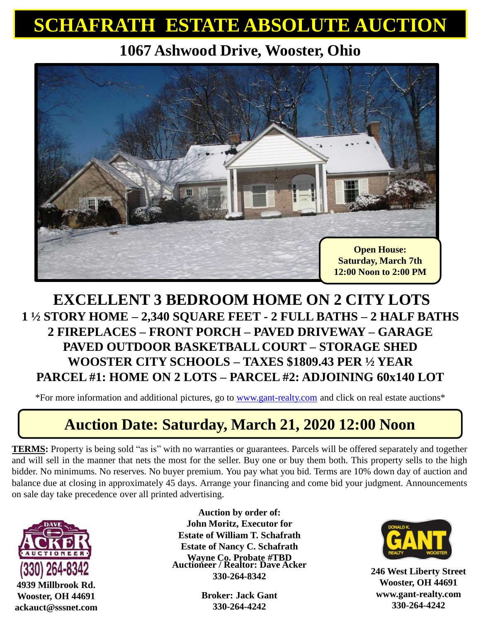## **SCHAFRATH ESTATE ABSOLUTE AUCTION**

**1067 Ashwood Drive, Wooster, Ohio**



#### **EXCELLENT 3 BEDROOM HOME ON 2 CITY LOTS 1 ½ STORY HOME – 2,340 SQUARE FEET - 2 FULL BATHS – 2 HALF BATHS 2 FIREPLACES – FRONT PORCH – PAVED DRIVEWAY – GARAGE PAVED OUTDOOR BASKETBALL COURT – STORAGE SHED WOOSTER CITY SCHOOLS – TAXES \$1809.43 PER ½ YEAR PARCEL #1: HOME ON 2 LOTS – PARCEL #2: ADJOINING 60x140 LOT**

\*For more information and additional pictures, go to [www.gant-realty.com](http://www.gant-realty.com/) and click on real estate auctions\*

### **Auction Date: Saturday, March 21, 2020 12:00 Noon**

**TERMS:** Property is being sold "as is" with no warranties or guarantees. Parcels will be offered separately and together and will sell in the manner that nets the most for the seller. Buy one or buy them both. This property sells to the high bidder. No minimums. No reserves. No buyer premium. You pay what you bid. Terms are 10% down day of auction and balance due at closing in approximately 45 days. Arrange your financing and come bid your judgment. Announcements on sale day take precedence over all printed advertising.



**4939 Millbrook Rd. Wooster, OH 44691 ackauct@sssnet.com** **Auctioneer / Realtor: Dave Acker 330-264-8342 Auction by order of: John Moritz, Executor for Estate of William T. Schafrath Estate of Nancy C. Schafrath Wayne Co. Probate #TBD** 

> **Broker: Jack Gant 330-264-4242**



**246 West Liberty Street Wooster, OH 44691 www.gant-realty.com 330-264-4242**